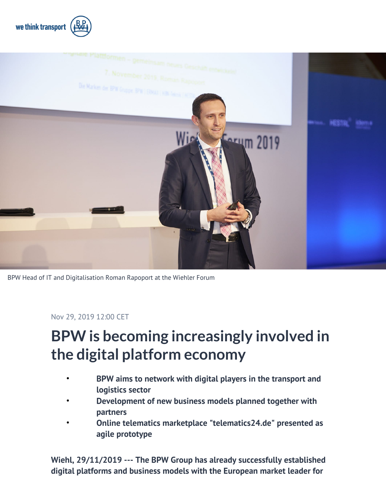



BPW Head of IT and Digitalisation Roman Rapoport at the Wiehler Forum

Nov 29, 2019 12:00 CET

# **BPW is becoming increasingly involved in the digital platform economy**

- **BPW aims to network with digital players in the transport and logistics sector**
- **Development of new business models planned together with partners**
- **Online telematics marketplace "telematics24.de" presented as agile prototype**

**Wiehl, 29/11/2019 --- The BPW Group has already successfully established digital platforms and business models with the European market leader for**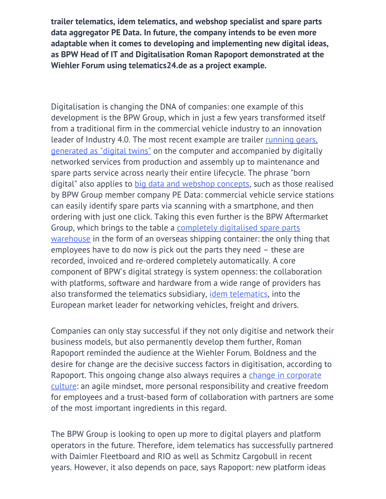**trailer telematics, idem telematics, and webshop specialist and spare parts data aggregator PE Data. In future, the company intends to be even more adaptable when it comes to developing and implementing new digital ideas, as BPW Head of IT and Digitalisation Roman Rapoport demonstrated at the Wiehler Forum using telematics24.de as a project example.**

Digitalisation is changing the DNA of companies: one example of this development is the BPW Group, which in just a few years transformed itself from a traditional firm in the commercial vehicle industry to an innovation leader of Industry 4.0. The most recent example are trailer [running gears,](https://geschaeftsbericht.bpw.de/en/intelligent-life) [generated as "digital twins"](https://geschaeftsbericht.bpw.de/en/intelligent-life) on the computer and accompanied by digitally networked services from production and assembly up to maintenance and spare parts service across nearly their entire lifecycle. The phrase "born digital" also applies to [big data and webshop concepts,](https://geschaeftsbericht.bpw.de/en/pe-data) such as those realised by BPW Group member company PE Data: commercial vehicle service stations can easily identify spare parts via scanning with a smartphone, and then ordering with just one click. Taking this even further is the BPW Aftermarket Group, which brings to the table a [completely digitalised spare parts](https://geschaeftsbericht.bpw.de/en/down-with-downtime) [warehouse](https://geschaeftsbericht.bpw.de/en/down-with-downtime) in the form of an overseas shipping container: the only thing that employees have to do now is pick out the parts they need – these are recorded, invoiced and re-ordered completely automatically. A core component of BPW's digital strategy is system openness: the collaboration with platforms, software and hardware from a wide range of providers has also transformed the telematics subsidiary, [idem telematics,](https://geschaeftsbericht.bpw.de/en/living-telematics) into the European market leader for networking vehicles, freight and drivers.

Companies can only stay successful if they not only digitise and network their business models, but also permanently develop them further, Roman Rapoport reminded the audience at the Wiehler Forum. Boldness and the desire for change are the decisive success factors in digitisation, according to Rapoport. This ongoing change also always reguires a [change in corporate](https://geschaeftsbericht.bpw.de/en/it) [culture:](https://geschaeftsbericht.bpw.de/en/it) an agile mindset, more personal responsibility and creative freedom for employees and a trust-based form of collaboration with partners are some of the most important ingredients in this regard.

The BPW Group is looking to open up more to digital players and platform operators in the future. Therefore, idem telematics has successfully partnered with Daimler Fleetboard and RIO as well as Schmitz Cargobull in recent years. However, it also depends on pace, says Rapoport: new platform ideas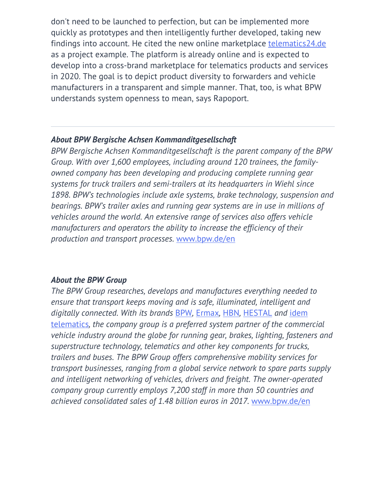don't need to be launched to perfection, but can be implemented more quickly as prototypes and then intelligently further developed, taking new findings into account. He cited the new online marketplace [telematics24.de](https://telematics24.de/en/) as a project example. The platform is already online and is expected to develop into a cross-brand marketplace for telematics products and services in 2020. The goal is to depict product diversity to forwarders and vehicle manufacturers in a transparent and simple manner. That, too, is what BPW understands system openness to mean, says Rapoport.

#### *About BPW Bergische Achsen Kommanditgesellschaft*

*BPW Bergische Achsen Kommanditgesellschaft is the parent company of the BPW Group. With over 1,600 employees, including around 120 trainees, the familyowned company has been developing and producing complete running gear systems for truck trailers and semi-trailers at its headquarters in Wiehl since 1898. BPW's technologies include axle systems, brake technology, suspension and bearings. BPW's trailer axles and running gear systems are in use in millions of vehicles around the world. An extensive range of services also offers vehicle manufacturers and operators the ability to increase the efficiency of their production and transport processes.* [www.bpw.de/en](http://www.bpw.de/en)

#### *About the BPW Group*

*The BPW Group researches, develops and manufactures everything needed to ensure that transport keeps moving and is safe, illuminated, intelligent and digitally connected. With its brands* [BPW](https://www.bpw.de/en/products/running-gears/disc-brakes-eco-disc)*,* [Ermax](https://www.bpw.de/en/products/lighting-cable-systems)*,* [HBN](https://www.bpw.de/en/products/mud-wings-mudguards)*,* [HESTAL](https://www.bpw.de/en/products/fasteners-and-superstructure-technology) *and* [idem](https://www.bpw.de/en/products/truck-trailer-telematics) [telematics](https://www.bpw.de/en/products/truck-trailer-telematics)*, the company group is a preferred system partner of the commercial vehicle industry around the globe for running gear, brakes, lighting, fasteners and superstructure technology, telematics and other key components for trucks, trailers and buses. The BPW Group offers comprehensive mobility services for transport businesses, ranging from a global service network to spare parts supply and intelligent networking of vehicles, drivers and freight. The owner-operated company group currently employs 7,200 staff in more than 50 countries and achieved consolidated sales of 1.48 billion euros in 2017.* [www.bpw.de/en](http://www.bpw.de/en)